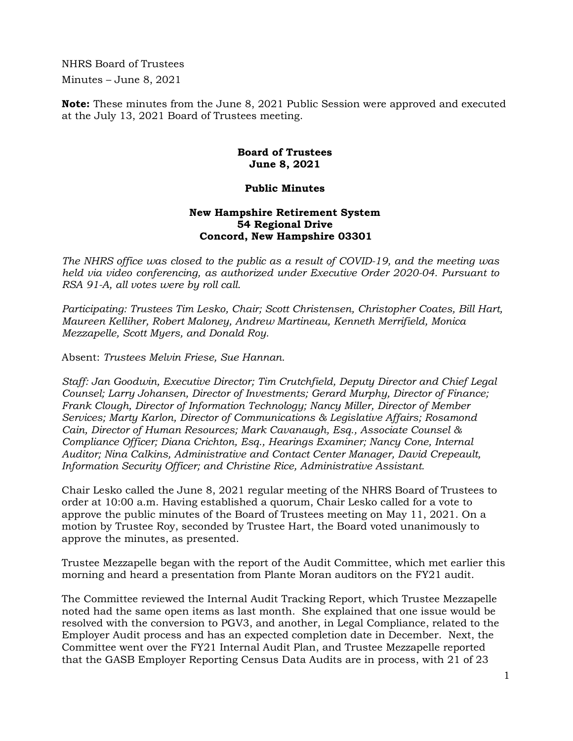NHRS Board of Trustees Minutes – June 8, 2021

**Note:** These minutes from the June 8, 2021 Public Session were approved and executed at the July 13, 2021 Board of Trustees meeting.

## **Board of Trustees June 8, 2021**

## **Public Minutes**

## **New Hampshire Retirement System 54 Regional Drive Concord, New Hampshire 03301**

*The NHRS office was closed to the public as a result of COVID-19, and the meeting was held via video conferencing, as authorized under Executive Order 2020-04. Pursuant to RSA 91-A, all votes were by roll call.* 

*Participating: Trustees Tim Lesko, Chair; Scott Christensen, Christopher Coates, Bill Hart, Maureen Kelliher, Robert Maloney, Andrew Martineau, Kenneth Merrifield, Monica Mezzapelle, Scott Myers, and Donald Roy.* 

Absent: *Trustees Melvin Friese, Sue Hannan.* 

*Staff: Jan Goodwin, Executive Director; Tim Crutchfield, Deputy Director and Chief Legal Counsel; Larry Johansen, Director of Investments; Gerard Murphy, Director of Finance; Frank Clough, Director of Information Technology; Nancy Miller, Director of Member Services; Marty Karlon, Director of Communications & Legislative Affairs; Rosamond Cain, Director of Human Resources; Mark Cavanaugh, Esq., Associate Counsel & Compliance Officer; Diana Crichton, Esq., Hearings Examiner; Nancy Cone, Internal Auditor; Nina Calkins, Administrative and Contact Center Manager, David Crepeault, Information Security Officer; and Christine Rice, Administrative Assistant.* 

Chair Lesko called the June 8, 2021 regular meeting of the NHRS Board of Trustees to order at 10:00 a.m. Having established a quorum, Chair Lesko called for a vote to approve the public minutes of the Board of Trustees meeting on May 11, 2021. On a motion by Trustee Roy, seconded by Trustee Hart, the Board voted unanimously to approve the minutes, as presented.

Trustee Mezzapelle began with the report of the Audit Committee, which met earlier this morning and heard a presentation from Plante Moran auditors on the FY21 audit.

The Committee reviewed the Internal Audit Tracking Report, which Trustee Mezzapelle noted had the same open items as last month. She explained that one issue would be resolved with the conversion to PGV3, and another, in Legal Compliance, related to the Employer Audit process and has an expected completion date in December. Next, the Committee went over the FY21 Internal Audit Plan, and Trustee Mezzapelle reported that the GASB Employer Reporting Census Data Audits are in process, with 21 of 23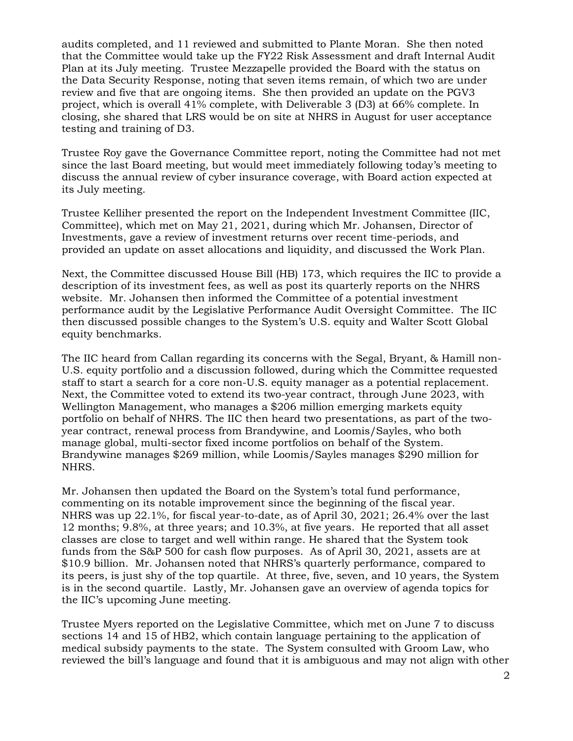audits completed, and 11 reviewed and submitted to Plante Moran. She then noted that the Committee would take up the FY22 Risk Assessment and draft Internal Audit Plan at its July meeting. Trustee Mezzapelle provided the Board with the status on the Data Security Response, noting that seven items remain, of which two are under review and five that are ongoing items. She then provided an update on the PGV3 project, which is overall 41% complete, with Deliverable 3 (D3) at 66% complete. In closing, she shared that LRS would be on site at NHRS in August for user acceptance testing and training of D3.

Trustee Roy gave the Governance Committee report, noting the Committee had not met since the last Board meeting, but would meet immediately following today's meeting to discuss the annual review of cyber insurance coverage, with Board action expected at its July meeting.

Trustee Kelliher presented the report on the Independent Investment Committee (IIC, Committee), which met on May 21, 2021, during which Mr. Johansen, Director of Investments, gave a review of investment returns over recent time-periods, and provided an update on asset allocations and liquidity, and discussed the Work Plan.

Next, the Committee discussed House Bill (HB) 173, which requires the IIC to provide a description of its investment fees, as well as post its quarterly reports on the NHRS website. Mr. Johansen then informed the Committee of a potential investment performance audit by the Legislative Performance Audit Oversight Committee. The IIC then discussed possible changes to the System's U.S. equity and Walter Scott Global equity benchmarks.

The IIC heard from Callan regarding its concerns with the Segal, Bryant, & Hamill non-U.S. equity portfolio and a discussion followed, during which the Committee requested staff to start a search for a core non-U.S. equity manager as a potential replacement. Next, the Committee voted to extend its two-year contract, through June 2023, with Wellington Management, who manages a \$206 million emerging markets equity portfolio on behalf of NHRS. The IIC then heard two presentations, as part of the twoyear contract, renewal process from Brandywine, and Loomis/Sayles, who both manage global, multi-sector fixed income portfolios on behalf of the System. Brandywine manages \$269 million, while Loomis/Sayles manages \$290 million for NHRS.

Mr. Johansen then updated the Board on the System's total fund performance, commenting on its notable improvement since the beginning of the fiscal year. NHRS was up 22.1%, for fiscal year-to-date, as of April 30, 2021; 26.4% over the last 12 months; 9.8%, at three years; and 10.3%, at five years. He reported that all asset classes are close to target and well within range. He shared that the System took funds from the S&P 500 for cash flow purposes. As of April 30, 2021, assets are at \$10.9 billion. Mr. Johansen noted that NHRS's quarterly performance, compared to its peers, is just shy of the top quartile. At three, five, seven, and 10 years, the System is in the second quartile. Lastly, Mr. Johansen gave an overview of agenda topics for the IIC's upcoming June meeting.

Trustee Myers reported on the Legislative Committee, which met on June 7 to discuss sections 14 and 15 of HB2, which contain language pertaining to the application of medical subsidy payments to the state. The System consulted with Groom Law, who reviewed the bill's language and found that it is ambiguous and may not align with other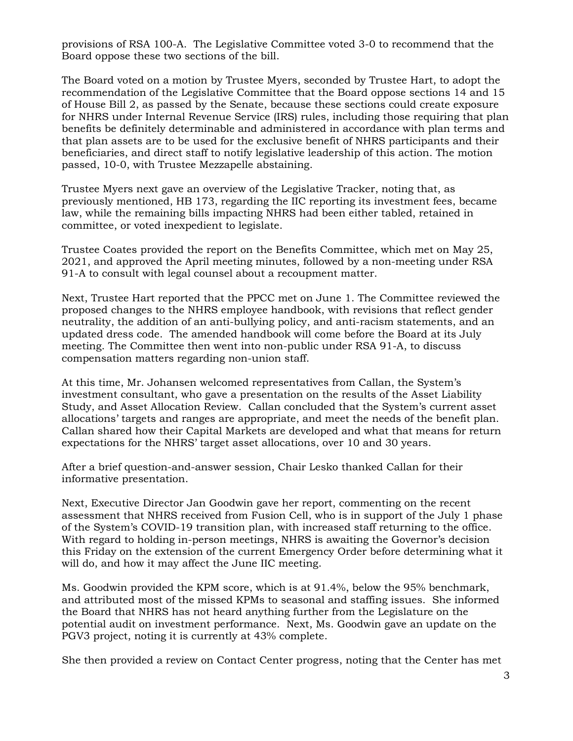provisions of RSA 100-A. The Legislative Committee voted 3-0 to recommend that the Board oppose these two sections of the bill.

The Board voted on a motion by Trustee Myers, seconded by Trustee Hart, to adopt the recommendation of the Legislative Committee that the Board oppose sections 14 and 15 of House Bill 2, as passed by the Senate, because these sections could create exposure for NHRS under Internal Revenue Service (IRS) rules, including those requiring that plan benefits be definitely determinable and administered in accordance with plan terms and that plan assets are to be used for the exclusive benefit of NHRS participants and their beneficiaries, and direct staff to notify legislative leadership of this action. The motion passed, 10-0, with Trustee Mezzapelle abstaining.

Trustee Myers next gave an overview of the Legislative Tracker, noting that, as previously mentioned, HB 173, regarding the IIC reporting its investment fees, became law, while the remaining bills impacting NHRS had been either tabled, retained in committee, or voted inexpedient to legislate.

Trustee Coates provided the report on the Benefits Committee, which met on May 25, 2021, and approved the April meeting minutes, followed by a non-meeting under RSA 91-A to consult with legal counsel about a recoupment matter.

Next, Trustee Hart reported that the PPCC met on June 1. The Committee reviewed the proposed changes to the NHRS employee handbook, with revisions that reflect gender neutrality, the addition of an anti-bullying policy, and anti-racism statements, and an updated dress code. The amended handbook will come before the Board at its July meeting. The Committee then went into non-public under RSA 91-A, to discuss compensation matters regarding non-union staff.

At this time, Mr. Johansen welcomed representatives from Callan, the System's investment consultant, who gave a presentation on the results of the Asset Liability Study, and Asset Allocation Review. Callan concluded that the System's current asset allocations' targets and ranges are appropriate, and meet the needs of the benefit plan. Callan shared how their Capital Markets are developed and what that means for return expectations for the NHRS' target asset allocations, over 10 and 30 years.

After a brief question-and-answer session, Chair Lesko thanked Callan for their informative presentation.

Next, Executive Director Jan Goodwin gave her report, commenting on the recent assessment that NHRS received from Fusion Cell, who is in support of the July 1 phase of the System's COVID-19 transition plan, with increased staff returning to the office. With regard to holding in-person meetings, NHRS is awaiting the Governor's decision this Friday on the extension of the current Emergency Order before determining what it will do, and how it may affect the June IIC meeting.

Ms. Goodwin provided the KPM score, which is at 91.4%, below the 95% benchmark, and attributed most of the missed KPMs to seasonal and staffing issues. She informed the Board that NHRS has not heard anything further from the Legislature on the potential audit on investment performance. Next, Ms. Goodwin gave an update on the PGV3 project, noting it is currently at 43% complete.

She then provided a review on Contact Center progress, noting that the Center has met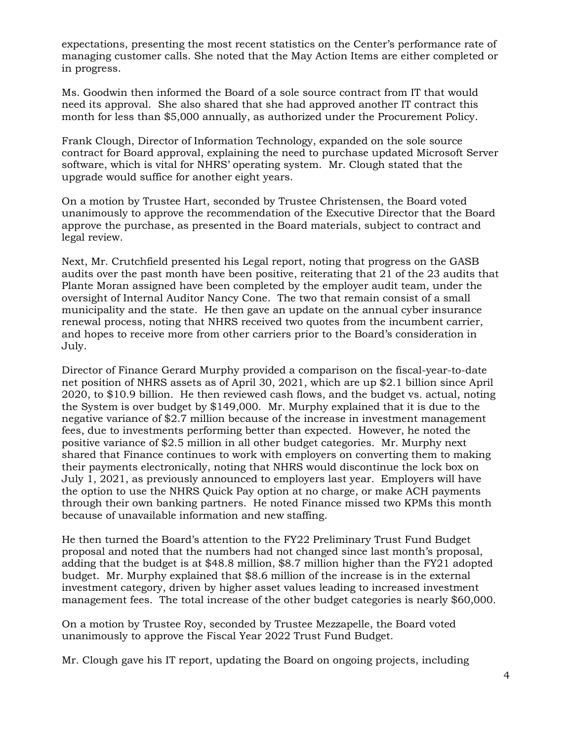expectations, presenting the most recent statistics on the Center's performance rate of managing customer calls. She noted that the May Action Items are either completed or in progress.

Ms. Goodwin then informed the Board of a sole source contract from IT that would need its approval. She also shared that she had approved another IT contract this month for less than \$5,000 annually, as authorized under the Procurement Policy.

Frank Clough, Director of Information Technology, expanded on the sole source contract for Board approval, explaining the need to purchase updated Microsoft Server software, which is vital for NHRS' operating system. Mr. Clough stated that the upgrade would suffice for another eight years.

On a motion by Trustee Hart, seconded by Trustee Christensen, the Board voted unanimously to approve the recommendation of the Executive Director that the Board approve the purchase, as presented in the Board materials, subject to contract and legal review.

Next, Mr. Crutchfield presented his Legal report, noting that progress on the GASB audits over the past month have been positive, reiterating that 21 of the 23 audits that Plante Moran assigned have been completed by the employer audit team, under the oversight of Internal Auditor Nancy Cone. The two that remain consist of a small municipality and the state. He then gave an update on the annual cyber insurance renewal process, noting that NHRS received two quotes from the incumbent carrier, and hopes to receive more from other carriers prior to the Board's consideration in July.

Director of Finance Gerard Murphy provided a comparison on the fiscal-year-to-date net position of NHRS assets as of April 30, 2021, which are up \$2.1 billion since April 2020, to \$10.9 billion. He then reviewed cash flows, and the budget vs. actual, noting the System is over budget by \$149,000. Mr. Murphy explained that it is due to the negative variance of \$2.7 million because of the increase in investment management fees, due to investments performing better than expected. However, he noted the positive variance of \$2.5 million in all other budget categories. Mr. Murphy next shared that Finance continues to work with employers on converting them to making their payments electronically, noting that NHRS would discontinue the lock box on July 1, 2021, as previously announced to employers last year. Employers will have the option to use the NHRS Quick Pay option at no charge, or make ACH payments through their own banking partners. He noted Finance missed two KPMs this month because of unavailable information and new staffing.

He then turned the Board's attention to the FY22 Preliminary Trust Fund Budget proposal and noted that the numbers had not changed since last month's proposal, adding that the budget is at \$48.8 million, \$8.7 million higher than the FY21 adopted budget. Mr. Murphy explained that \$8.6 million of the increase is in the external investment category, driven by higher asset values leading to increased investment management fees. The total increase of the other budget categories is nearly \$60,000.

On a motion by Trustee Roy, seconded by Trustee Mezzapelle, the Board voted unanimously to approve the Fiscal Year 2022 Trust Fund Budget.

Mr. Clough gave his IT report, updating the Board on ongoing projects, including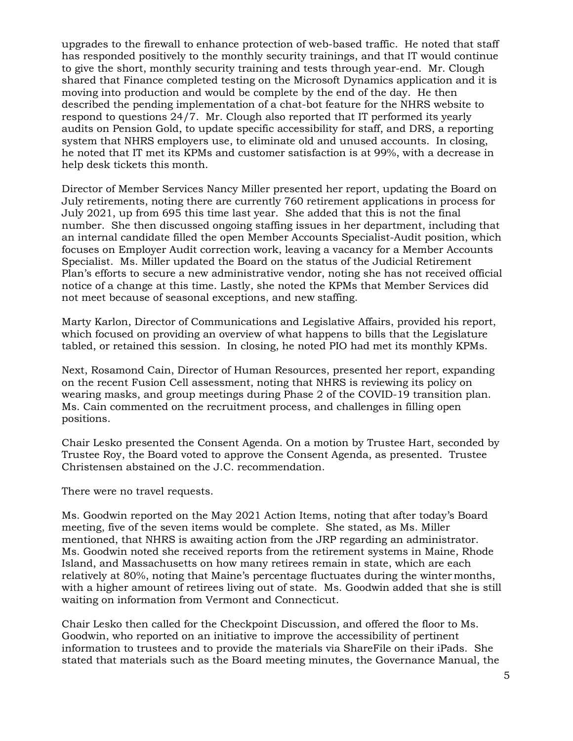upgrades to the firewall to enhance protection of web-based traffic. He noted that staff has responded positively to the monthly security trainings, and that IT would continue to give the short, monthly security training and tests through year-end. Mr. Clough shared that Finance completed testing on the Microsoft Dynamics application and it is moving into production and would be complete by the end of the day. He then described the pending implementation of a chat-bot feature for the NHRS website to respond to questions 24/7. Mr. Clough also reported that IT performed its yearly audits on Pension Gold, to update specific accessibility for staff, and DRS, a reporting system that NHRS employers use, to eliminate old and unused accounts. In closing, he noted that IT met its KPMs and customer satisfaction is at 99%, with a decrease in help desk tickets this month.

Director of Member Services Nancy Miller presented her report, updating the Board on July retirements, noting there are currently 760 retirement applications in process for July 2021, up from 695 this time last year. She added that this is not the final number. She then discussed ongoing staffing issues in her department, including that an internal candidate filled the open Member Accounts Specialist-Audit position, which focuses on Employer Audit correction work, leaving a vacancy for a Member Accounts Specialist. Ms. Miller updated the Board on the status of the Judicial Retirement Plan's efforts to secure a new administrative vendor, noting she has not received official notice of a change at this time. Lastly, she noted the KPMs that Member Services did not meet because of seasonal exceptions, and new staffing.

Marty Karlon, Director of Communications and Legislative Affairs, provided his report, which focused on providing an overview of what happens to bills that the Legislature tabled, or retained this session. In closing, he noted PIO had met its monthly KPMs.

Next, Rosamond Cain, Director of Human Resources, presented her report, expanding on the recent Fusion Cell assessment, noting that NHRS is reviewing its policy on wearing masks, and group meetings during Phase 2 of the COVID-19 transition plan. Ms. Cain commented on the recruitment process, and challenges in filling open positions.

Chair Lesko presented the Consent Agenda. On a motion by Trustee Hart, seconded by Trustee Roy, the Board voted to approve the Consent Agenda, as presented. Trustee Christensen abstained on the J.C. recommendation.

There were no travel requests.

Ms. Goodwin reported on the May 2021 Action Items, noting that after today's Board meeting, five of the seven items would be complete. She stated, as Ms. Miller mentioned, that NHRS is awaiting action from the JRP regarding an administrator. Ms. Goodwin noted she received reports from the retirement systems in Maine, Rhode Island, and Massachusetts on how many retirees remain in state, which are each relatively at 80%, noting that Maine's percentage fluctuates during the winter months, with a higher amount of retirees living out of state. Ms. Goodwin added that she is still waiting on information from Vermont and Connecticut.

Chair Lesko then called for the Checkpoint Discussion, and offered the floor to Ms. Goodwin, who reported on an initiative to improve the accessibility of pertinent information to trustees and to provide the materials via ShareFile on their iPads. She stated that materials such as the Board meeting minutes, the Governance Manual, the